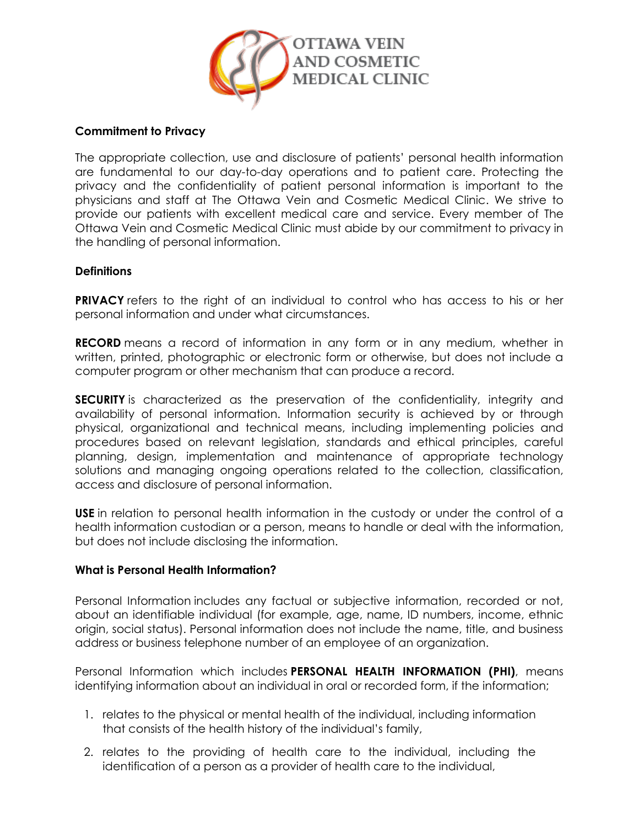

### **Commitment to Privacy**

The appropriate collection, use and disclosure of patients' personal health information are fundamental to our day-to-day operations and to patient care. Protecting the privacy and the confidentiality of patient personal information is important to the physicians and staff at The Ottawa Vein and Cosmetic Medical Clinic. We strive to provide our patients with excellent medical care and service. Every member of The Ottawa Vein and Cosmetic Medical Clinic must abide by our commitment to privacy in the handling of personal information.

## **Definitions**

**PRIVACY** refers to the right of an individual to control who has access to his or her personal information and under what circumstances.

**RECORD** means a record of information in any form or in any medium, whether in written, printed, photographic or electronic form or otherwise, but does not include a computer program or other mechanism that can produce a record.

**SECURITY** is characterized as the preservation of the confidentiality, integrity and availability of personal information. Information security is achieved by or through physical, organizational and technical means, including implementing policies and procedures based on relevant legislation, standards and ethical principles, careful planning, design, implementation and maintenance of appropriate technology solutions and managing ongoing operations related to the collection, classification, access and disclosure of personal information.

**USE** in relation to personal health information in the custody or under the control of a health information custodian or a person, means to handle or deal with the information, but does not include disclosing the information.

### **What is Personal Health Information?**

Personal Information includes any factual or subjective information, recorded or not, about an identifiable individual (for example, age, name, ID numbers, income, ethnic origin, social status). Personal information does not include the name, title, and business address or business telephone number of an employee of an organization.

Personal Information which includes **PERSONAL HEALTH INFORMATION (PHI)**, means identifying information about an individual in oral or recorded form, if the information;

- 1. relates to the physical or mental health of the individual, including information that consists of the health history of the individual's family,
- 2. relates to the providing of health care to the individual, including the identification of a person as a provider of health care to the individual,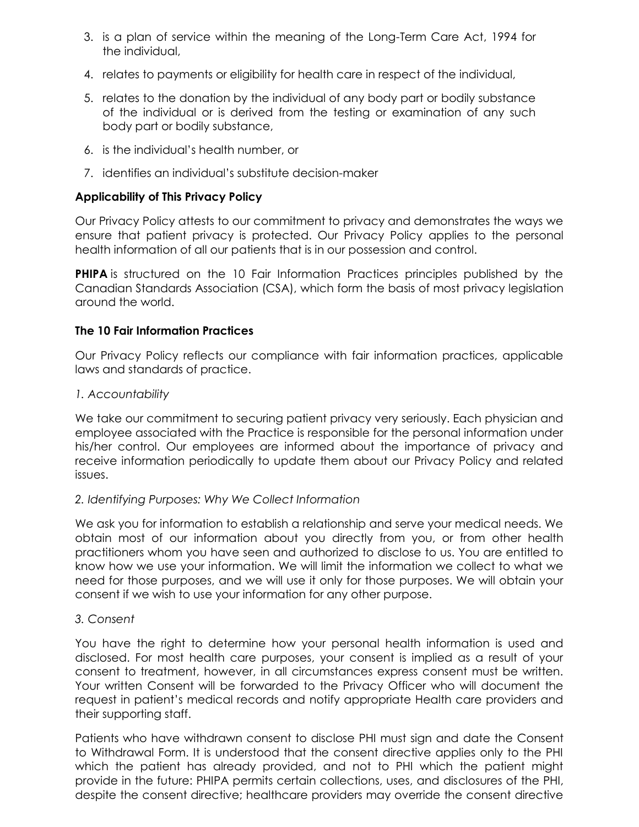- 3. is a plan of service within the meaning of the Long-Term Care Act, 1994 for the individual,
- 4. relates to payments or eligibility for health care in respect of the individual,
- 5. relates to the donation by the individual of any body part or bodily substance of the individual or is derived from the testing or examination of any such body part or bodily substance,
- 6. is the individual's health number, or
- 7. identifies an individual's substitute decision-maker

# **Applicability of This Privacy Policy**

Our Privacy Policy attests to our commitment to privacy and demonstrates the ways we ensure that patient privacy is protected. Our Privacy Policy applies to the personal health information of all our patients that is in our possession and control.

**PHIPA** is structured on the 10 Fair Information Practices principles published by the Canadian Standards Association (CSA), which form the basis of most privacy legislation around the world.

## **The 10 Fair Information Practices**

Our Privacy Policy reflects our compliance with fair information practices, applicable laws and standards of practice.

### *1. Accountability*

We take our commitment to securing patient privacy very seriously. Each physician and employee associated with the Practice is responsible for the personal information under his/her control. Our employees are informed about the importance of privacy and receive information periodically to update them about our Privacy Policy and related issues.

### *2. Identifying Purposes: Why We Collect Information*

We ask you for information to establish a relationship and serve your medical needs. We obtain most of our information about you directly from you, or from other health practitioners whom you have seen and authorized to disclose to us. You are entitled to know how we use your information. We will limit the information we collect to what we need for those purposes, and we will use it only for those purposes. We will obtain your consent if we wish to use your information for any other purpose.

### *3. Consent*

You have the right to determine how your personal health information is used and disclosed. For most health care purposes, your consent is implied as a result of your consent to treatment, however, in all circumstances express consent must be written. Your written Consent will be forwarded to the Privacy Officer who will document the request in patient's medical records and notify appropriate Health care providers and their supporting staff.

Patients who have withdrawn consent to disclose PHI must sign and date the Consent to Withdrawal Form. It is understood that the consent directive applies only to the PHI which the patient has already provided, and not to PHI which the patient might provide in the future: PHIPA permits certain collections, uses, and disclosures of the PHI, despite the consent directive; healthcare providers may override the consent directive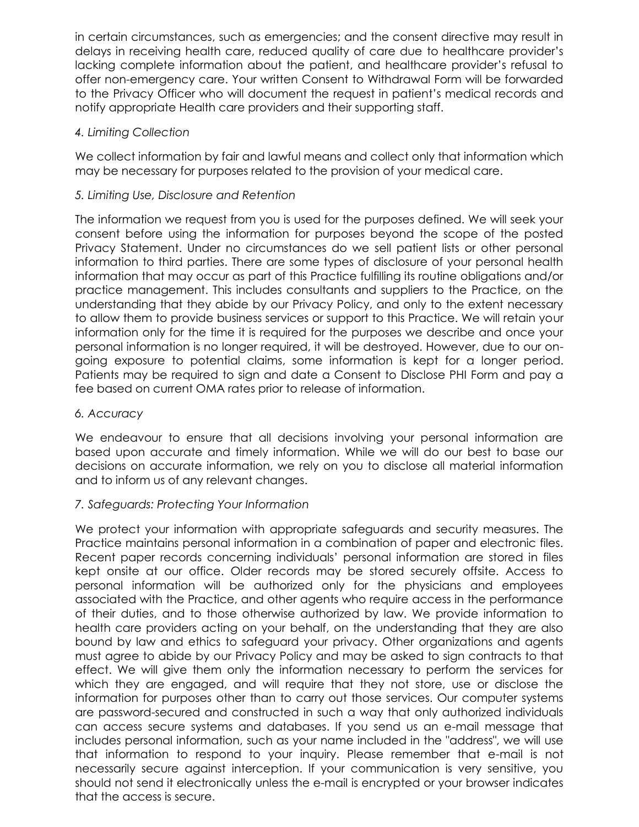in certain circumstances, such as emergencies; and the consent directive may result in delays in receiving health care, reduced quality of care due to healthcare provider's lacking complete information about the patient, and healthcare provider's refusal to offer non-emergency care. Your written Consent to Withdrawal Form will be forwarded to the Privacy Officer who will document the request in patient's medical records and notify appropriate Health care providers and their supporting staff.

# *4. Limiting Collection*

We collect information by fair and lawful means and collect only that information which may be necessary for purposes related to the provision of your medical care.

# *5. Limiting Use, Disclosure and Retention*

The information we request from you is used for the purposes defined. We will seek your consent before using the information for purposes beyond the scope of the posted Privacy Statement. Under no circumstances do we sell patient lists or other personal information to third parties. There are some types of disclosure of your personal health information that may occur as part of this Practice fulfilling its routine obligations and/or practice management. This includes consultants and suppliers to the Practice, on the understanding that they abide by our Privacy Policy, and only to the extent necessary to allow them to provide business services or support to this Practice. We will retain your information only for the time it is required for the purposes we describe and once your personal information is no longer required, it will be destroyed. However, due to our ongoing exposure to potential claims, some information is kept for a longer period. Patients may be required to sign and date a Consent to Disclose PHI Form and pay a fee based on current OMA rates prior to release of information.

### *6. Accuracy*

We endeavour to ensure that all decisions involving your personal information are based upon accurate and timely information. While we will do our best to base our decisions on accurate information, we rely on you to disclose all material information and to inform us of any relevant changes.

### *7. Safeguards: Protecting Your Information*

We protect your information with appropriate safeguards and security measures. The Practice maintains personal information in a combination of paper and electronic files. Recent paper records concerning individuals' personal information are stored in files kept onsite at our office. Older records may be stored securely offsite. Access to personal information will be authorized only for the physicians and employees associated with the Practice, and other agents who require access in the performance of their duties, and to those otherwise authorized by law. We provide information to health care providers acting on your behalf, on the understanding that they are also bound by law and ethics to safeguard your privacy. Other organizations and agents must agree to abide by our Privacy Policy and may be asked to sign contracts to that effect. We will give them only the information necessary to perform the services for which they are engaged, and will require that they not store, use or disclose the information for purposes other than to carry out those services. Our computer systems are password-secured and constructed in such a way that only authorized individuals can access secure systems and databases. If you send us an e-mail message that includes personal information, such as your name included in the "address", we will use that information to respond to your inquiry. Please remember that e-mail is not necessarily secure against interception. If your communication is very sensitive, you should not send it electronically unless the e-mail is encrypted or your browser indicates that the access is secure.